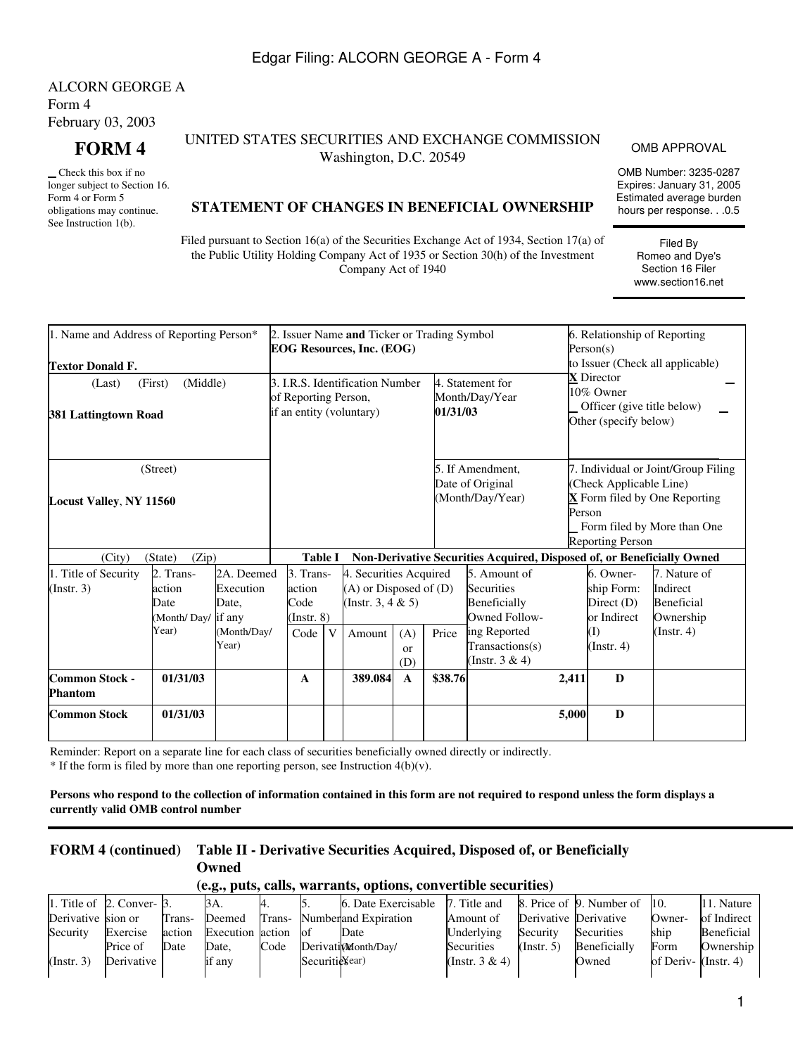## Edgar Filing: ALCORN GEORGE A - Form 4

ALCORN GEORGE A Form 4 February 03, 2003

 Check this box if no longer subject to Section 16. Form 4 or Form 5 obligations may continue. See Instruction 1(b).

#### **FORM 4** UNITED STATES SECURITIES AND EXCHANGE COMMISSION UNITIES AND EXCHANGE COMMISSION OMB APPROVAL<br>Washington, D.C. 20549

OMB Number: 3235-0287 Expires: January 31, 2005 Estimated average burden hours per response. . .0.5

> Filed By Romeo and Dye's Section 16 Filer www.section16.net

### **STATEMENT OF CHANGES IN BENEFICIAL OWNERSHIP**

Filed pursuant to Section 16(a) of the Securities Exchange Act of 1934, Section 17(a) of the Public Utility Holding Company Act of 1935 or Section 30(h) of the Investment Company Act of 1940

| 1. Name and Address of Reporting Person*<br><b>Textor Donald F.</b> |                                                                                |                                                          | 2. Issuer Name and Ticker or Trading Symbol<br>EOG Resources, Inc. (EOG) |   |                                                                                   | 6. Relationship of Reporting<br>Person(s)<br>to Issuer (Check all applicable) |         |                                                                                                                                                                                                      |        |                                                                                 |                                                                                                                            |
|---------------------------------------------------------------------|--------------------------------------------------------------------------------|----------------------------------------------------------|--------------------------------------------------------------------------|---|-----------------------------------------------------------------------------------|-------------------------------------------------------------------------------|---------|------------------------------------------------------------------------------------------------------------------------------------------------------------------------------------------------------|--------|---------------------------------------------------------------------------------|----------------------------------------------------------------------------------------------------------------------------|
| (First)<br>(Last)<br>381 Lattingtown Road                           | of Reporting Person,                                                           |                                                          | 3. I.R.S. Identification Number<br>if an entity (voluntary)              |   | 01/31/03                                                                          | 4. Statement for<br>Month/Day/Year                                            |         | <b>X</b> Director<br>10% Owner<br>Officer (give title below)<br>Other (specify below)                                                                                                                |        |                                                                                 |                                                                                                                            |
| <b>Locust Valley, NY 11560</b>                                      | (Street)                                                                       |                                                          |                                                                          |   |                                                                                   |                                                                               |         | 5. If Amendment,<br>Date of Original<br>(Month/Day/Year)                                                                                                                                             | Person | (Check Applicable Line)<br><b>Reporting Person</b>                              | 7. Individual or Joint/Group Filing<br>$\underline{\mathbf{X}}$ Form filed by One Reporting<br>Form filed by More than One |
| (City)<br>1. Title of Security<br>(Insert. 3)                       | (Zip)<br>(State)<br>2. Trans-<br>action<br>Date<br>(Month/Day/ if any<br>Year) | 2A. Deemed<br>Execution<br>Date,<br>(Month/Day/<br>Year) | <b>Table I</b><br>3. Trans-<br>action<br>Code<br>$($ Instr. $8)$<br>Code | V | 4. Securities Acquired<br>(A) or Disposed of (D)<br>(Instr. 3, 4 $&$ 5)<br>Amount | (A)<br><b>or</b><br>(D)                                                       | Price   | Non-Derivative Securities Acquired, Disposed of, or Beneficially Owned<br>5. Amount of<br>Securities<br>Beneficially<br><b>Owned Follow-</b><br>ing Reported<br>Transactions(s)<br>(Instr. $3 & 4$ ) |        | 6. Owner-<br>ship Form:<br>Direct (D)<br>or Indirect<br>(I)<br>$($ Instr. 4 $)$ | 7. Nature of<br>Indirect<br>Beneficial<br>Ownership<br>$($ Instr. 4 $)$                                                    |
| <b>Common Stock -</b><br>Phantom                                    | 01/31/03                                                                       |                                                          | A                                                                        |   | 389.084                                                                           | A                                                                             | \$38.76 |                                                                                                                                                                                                      | 2,411  | D                                                                               |                                                                                                                            |
| <b>Common Stock</b>                                                 | 01/31/03                                                                       |                                                          |                                                                          |   |                                                                                   |                                                                               |         |                                                                                                                                                                                                      | 5,000  | $\bf{D}$                                                                        |                                                                                                                            |

Reminder: Report on a separate line for each class of securities beneficially owned directly or indirectly.

 $*$  If the form is filed by more than one reporting person, see Instruction 4(b)(v).

**Persons who respond to the collection of information contained in this form are not required to respond unless the form displays a currently valid OMB control number**

# **FORM 4 (continued) Table II - Derivative Securities Acquired, Disposed of, or Beneficially Owned**

#### **(e.g., puts, calls, warrants, options, convertible securities)**

|                    | 1. Title of $\,$ 2. Conver- $\,$ 3. |        | 3A.              |        |                | 6. Date Exercisable 7. Title and |                   |                       | 8. Price of 9. Number of 10. |                      | 11. Nature  |
|--------------------|-------------------------------------|--------|------------------|--------|----------------|----------------------------------|-------------------|-----------------------|------------------------------|----------------------|-------------|
| Derivative sion or |                                     | Trans- | Deemed           | Trans- |                | Numberland Expiration            | Amount of         | Derivative Derivative |                              | Owner-               | of Indirect |
| Security           | Exercise                            | action | Execution action |        | 'ot            | Date                             | Underlying        | Security              | Securities                   | ship                 | Beneficial  |
|                    | Price of                            | Date   | Date.            | Code   |                | Derivation onth/Day/             | Securities        | $($ Instr. 5 $)$      | Beneficially                 | Form                 | Ownership   |
| (Insert. 3)        | Derivative I                        |        | if any           |        | Securitie¥ear) |                                  | (Instr. $3 & 4$ ) |                       | Owned                        | of Deriv- (Instr. 4) |             |
|                    |                                     |        |                  |        |                |                                  |                   |                       |                              |                      |             |

1